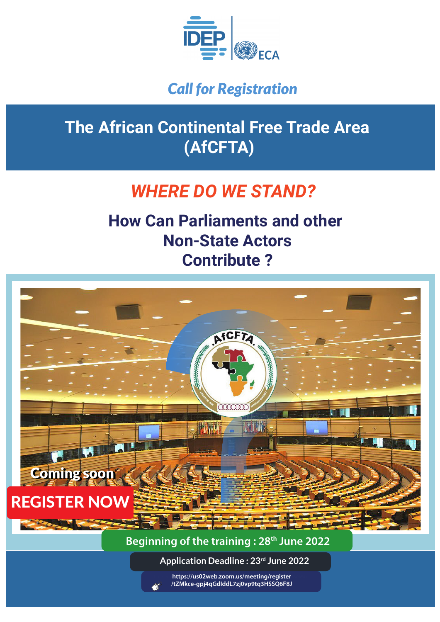

### *Call for Registration*

# **The African Continental Free Trade Area (AfCFTA)**

# *WHERE DO WE STAND?*

# **How Can Parliaments and other Non-State Actors Contribute ?**

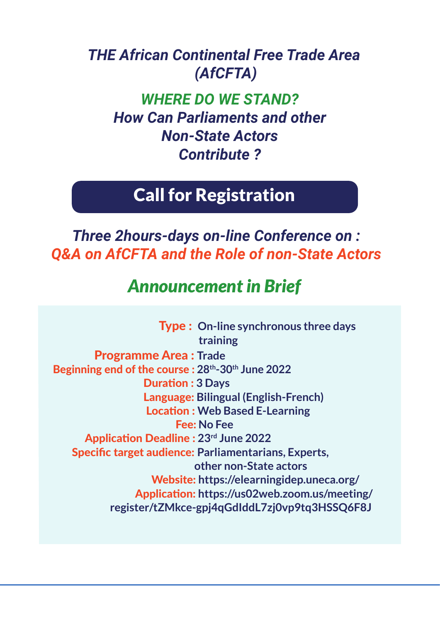### *THE African Continental Free Trade Area (AfCFTA)*

*WHERE DO WE STAND? How Can Parliaments and other Non-State Actors Contribute ?*

### Call for Registration

*Three 2hours-days on-line Conference on : Q&A on AfCFTA and the Role of non-State Actors*

## *Announcement in Brief*

 Type : **On-line synchronous three days training**  Programme Area : **Trade** Beginning end of the course : **28th-30th June 2022 Duration: 3 Days**  Language: **Bilingual (English-French) Location : Web Based E-Learning**  Fee: **No Fee**  Applicaion Deadline : **23rd June 2022** Specific target audience: **Parliamentarians, Experts, other non-State actors** Website: **https://elearningidep.uneca.org/ https://us02web.zoom.us/meeting/register/tzmeeting/register/tzmeeting/register/tzmeeting/register/tzmeeting/register/ register/tZMkce-gpj4qGdIddL7zj0vp9tq3HSSQ6F8J**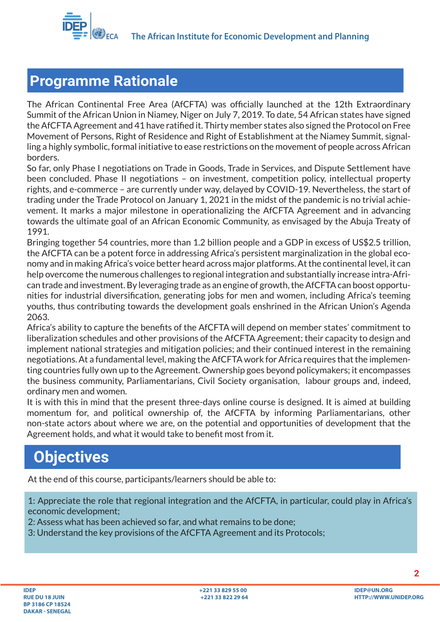

#### **Programme Rationale**

The African Continental Free Area (AfCFTA) was officially launched at the 12th Extraordinary Summit of the African Union in Niamey, Niger on July 7, 2019. To date, 54 African states have signed the AfCFTA Agreement and 41 have ratified it. Thirty member states also signed the Protocol on Free Movement of Persons, Right of Residence and Right of Establishment at the Niamey Summit, signalling a highly symbolic, formal initiative to ease restrictions on the movement of people across African borders.

So far, only Phase I negotiations on Trade in Goods, Trade in Services, and Dispute Settlement have been concluded. Phase II negotiations – on investment, competition policy, intellectual property rights, and e-commerce – are currently under way, delayed by COVID-19. Nevertheless, the start of trading under the Trade Protocol on January 1, 2021 in the midst of the pandemic is no trivial achievement. It marks a major milestone in operationalizing the AfCFTA Agreement and in advancing towards the ultimate goal of an African Economic Community, as envisaged by the Abuja Treaty of 1991.

Bringing together 54 countries, more than 1.2 billion people and a GDP in excess of US\$2.5 trillion, the AfCFTA can be a potent force in addressing Africa's persistent marginalization in the global economy and in making Africa's voice better heard across major platforms. At the continental level, it can help overcome the numerous challenges to regional integration and substantially increase intra-African trade and investment. By leveraging trade as an engine of growth, the AfCFTA can boost opportunities for industrial diversification, generating jobs for men and women, including Africa's teeming youths, thus contributing towards the development goals enshrined in the African Union's Agenda 2063.

Africa's ability to capture the benefits of the AfCFTA will depend on member states' commitment to liberalization schedules and other provisions of the AfCFTA Agreement; their capacity to design and implement national strategies and mitigation policies; and their continued interest in the remaining negotiations. At a fundamental level, making the AfCFTA work for Africa requires that the implementing countries fully own up to the Agreement. Ownership goes beyond policymakers; it encompasses the business community, Parliamentarians, Civil Society organisation, labour groups and, indeed, ordinary men and women.

It is with this in mind that the present three-days online course is designed. It is aimed at building momentum for, and political ownership of, the AfCFTA by informing Parliamentarians, other non-state actors about where we are, on the potential and opportunities of development that the Agreement holds, and what it would take to benefit most from it.

## **Objectives**

At the end of this course, participants/learners should be able to:

1: Appreciate the role that regional integration and the AfCFTA, in particular, could play in Africa's economic development;

2: Assess what has been achieved so far, and what remains to be done;

3: Understand the key provisions of the AfCFTA Agreement and its Protocols;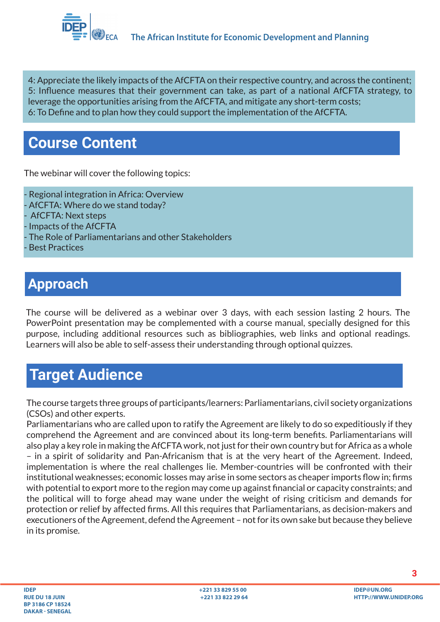

4: Appreciate the likely impacts of the AfCFTA on their respective country, and across the continent; 5: Influence measures that their government can take, as part of a national AfCFTA strategy, to leverage the opportunities arising from the AfCFTA, and mitigate any short-term costs; 6: To Define and to plan how they could support the implementation of the AfCFTA.

### **Course Content**

The webinar will cover the following topics:

- Regional integration in Africa: Overview - AfCFTA: Where do we stand today? - AfCFTA: Next steps - Impacts of the AfCFTA - The Role of Parliamentarians and other Stakeholders **Best Practices** 

### **Approach**

The course will be delivered as a webinar over 3 days, with each session lasting 2 hours. The PowerPoint presentation may be complemented with a course manual, specially designed for this purpose, including additional resources such as bibliographies, web links and optional readings. Learners will also be able to self-assess their understanding through optional quizzes.

### **Target Audience**

The course targets three groups of participants/learners: Parliamentarians, civil society organizations (CSOs) and other experts.

Parliamentarians who are called upon to ratify the Agreement are likely to do so expeditiously if they comprehend the Agreement and are convinced about its long-term benefits. Parliamentarians will also play a key role in making the AfCFTA work, not just for their own country but for Africa as a whole – in a spirit of solidarity and Pan-Africanism that is at the very heart of the Agreement. Indeed, implementation is where the real challenges lie. Member-countries will be confronted with their institutional weaknesses; economic losses may arise in some sectors as cheaper imports flow in; firms with potential to export more to the region may come up against financial or capacity constraints; and the political will to forge ahead may wane under the weight of rising criticism and demands for protection or relief by affected firms. All this requires that Parliamentarians, as decision-makers and executioners of the Agreement, defend the Agreement – not for its own sake but because they believe in its promise.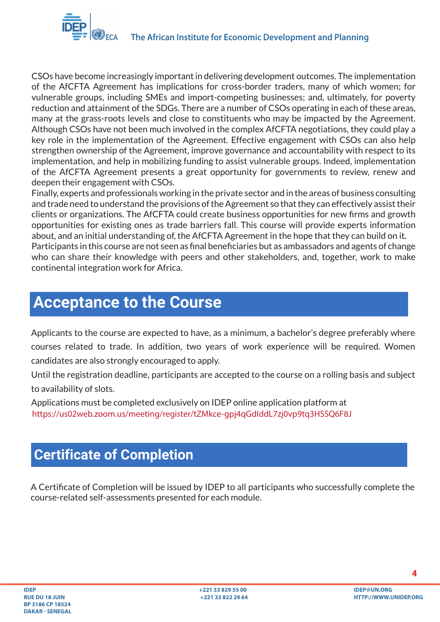

CSOs have become increasingly important in delivering development outcomes. The implementation of the AfCFTA Agreement has implications for cross-border traders, many of which women; for vulnerable groups, including SMEs and import-competing businesses; and, ultimately, for poverty reduction and attainment of the SDGs. There are a number of CSOs operating in each of these areas, many at the grass-roots levels and close to constituents who may be impacted by the Agreement. Although CSOs have not been much involved in the complex AfCFTA negotiations, they could play a key role in the implementation of the Agreement. Effective engagement with CSOs can also help strengthen ownership of the Agreement, improve governance and accountability with respect to its implementation, and help in mobilizing funding to assist vulnerable groups. Indeed, implementation of the AfCFTA Agreement presents a great opportunity for governments to review, renew and deepen their engagement with CSOs.

Finally, experts and professionals working in the private sector and in the areas of business consulting and trade need to understand the provisions of the Agreement so that they can effectively assist their clients or organizations. The AfCFTA could create business opportunities for new firms and growth opportunities for existing ones as trade barriers fall. This course will provide experts information about, and an initial understanding of, the AfCFTA Agreement in the hope that they can build on it. Participants in this course are not seen as final beneficiaries but as ambassadors and agents of change who can share their knowledge with peers and other stakeholders, and, together, work to make continental integration work for Africa.

### **Acceptance to the Course**

Applicants to the course are expected to have, as a minimum, a bachelor's degree preferably where courses related to trade. In addition, two years of work experience will be required. Women candidates are also strongly encouraged to apply.

Until the registration deadline, participants are accepted to the course on a rolling basis and subject to availability of slots.

Applications must be completed exclusively on IDEP online application platform at https://us02web.zoom.us/meeting/register/tZMkce-gpj4qGdIddL7zj0vp9tq3HSSQ6F8J

### **Certificate of Completion**

A Certificate of Completion will be issued by IDEP to all participants who successfully complete the course-related self-assessments presented for each module.